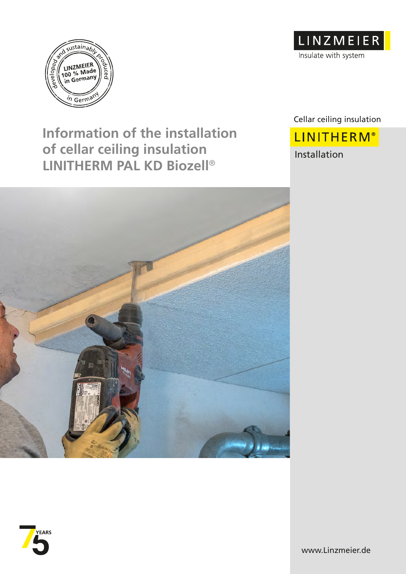

# **Information of the installation of cellar ceiling insulation LINITHERM PAL KD Biozell**®



Cellar ceiling insulation **LINITHERM®** Installation



![](_page_0_Picture_5.jpeg)

www.Linzmeier.de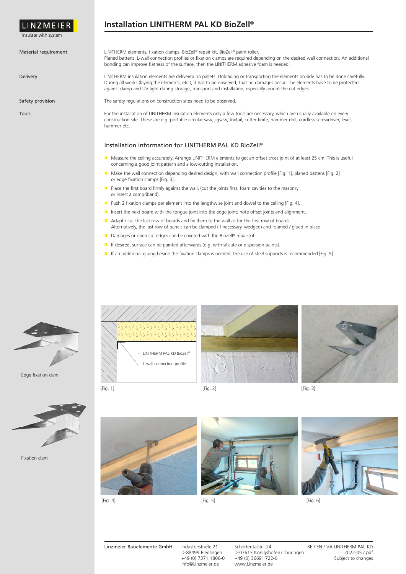![](_page_1_Picture_0.jpeg)

Insulate with system

#### Material requirement

Delivery

Safety provision

Tools

## **Installation LINITHERM PAL KD BioZell®**

LINITHERM elements, fixation clamps, BioZell® repair kit, BioZell® paint roller. Planed battens, L-wall connection profiles or fixation clamps are required depending on the desired wall connection. An additional bonding can improve flatness of the surface, then the LINITHERM adhesive foam is needed.

LINITHERM insulation elements are delivered on pallets. Unloading or transporting the elements on side has to be done carefully. During all works (laying the elements, etc.), it has to be observed, that no damages occur. The elements have to be protected against damp and UV light during storage, transport and installation, especially arount the cut edges.

The safety regulations on construction sites need to be observed.

For the installation of LINITHERM insulation elements only a few tools are necessary, which are usually available on every construction site. These are e.g. portable circular saw, jigsaw, foxtail, cutter knife, hammer drill, cordless screwdriver, level, hammer etc.

#### Installation information for LINITHERM PAL KD BioZell®

- Measure the ceiling accurately. Arrange LINITHERM elements to get an offset cross joint of at least 25 cm. This is useful concerning a good joint pattern and a low-cutting installation.
- Make the wall connection depending desired design, with wall connection profile [Fig. 1], planed battens [Fig. 2] or edge fixation clamps [Fig. 3].
- $\blacksquare$  Place the first board firmly against the wall. (cut the joints first, foam cavities to the masonry or insert a compriband).
- **Push 2 fixation clamps per element into the lengthwise joint and dowel to the ceiling [Fig. 4].**
- Insert the next board with the tongue joint into the edge joint; note offset joints and alignment.
- Adapt / cut the last row of boards and fix them to the wall as for the first row of boards. Alternatively, the last row of panels can be clamped (if necessary, wedged) and foamed / glued in place.
- Damages or open cut edges can be covered with the BioZell® repair kit.
- If desired, surface can be painted afterwards (e.g. with silicate or dispersion paints).
- If an additional gluing beside the fixation clamps is needed, the use of steel supports is recommended [Fig. 5].

![](_page_1_Picture_21.jpeg)

Edge fixation clam

![](_page_1_Picture_23.jpeg)

![](_page_1_Picture_24.jpeg)

![](_page_1_Picture_25.jpeg)

[Fig. 1] [Fig. 2]

![](_page_1_Picture_27.jpeg)

Fixation clam

![](_page_1_Picture_29.jpeg)

![](_page_1_Picture_30.jpeg)

![](_page_1_Picture_31.jpeg)

![](_page_1_Picture_33.jpeg)

[Fig. 6]

Linzmeier Bauelemente GmbH Industriestraße 21 Schortentalstr. 24 BE / EN / VA LINITHERM PAL KD<br>D-88499 Riedlingen D-07613 Königshofen/Thüringen 2022-05 / pdf D-88499 Riedlingen D-07613 Königshofen/Thüringen 2022-05 / pdf<br>+49 (0) 7371 1806-0 +49 (0) 36691 722-0<br>Discounter 2021-05 / Subject to changes +49 (0) 7371 1806-0 +49 (0) 36691 722-0<br>Info@Linzmeier.de www.Linzmeier.de www.Linzmeier.de